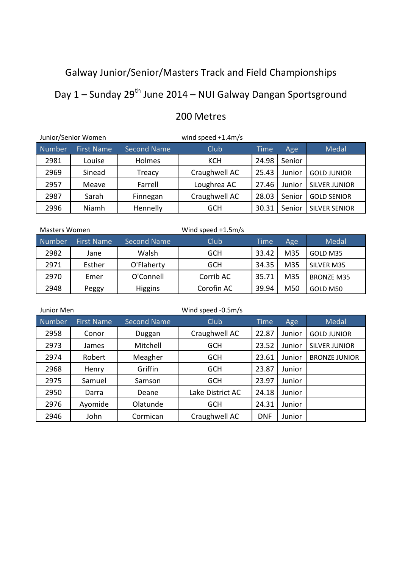# Galway Junior/Senior/Masters Track and Field Championships

# Day 1 – Sunday 29<sup>th</sup> June 2014 – NUI Galway Dangan Sportsground

|        | Junior/Senior Women                     |          | wind speed $+1.4$ m/s |       |        |                      |
|--------|-----------------------------------------|----------|-----------------------|-------|--------|----------------------|
| Number | <b>Second Name</b><br><b>First Name</b> |          | Club<br><b>Time</b>   |       | Age    | Medal                |
| 2981   | Louise                                  | Holmes   | <b>KCH</b>            | 24.98 | Senior |                      |
| 2969   | Sinead                                  | Treacy   | Craughwell AC         | 25.43 | Junior | <b>GOLD JUNIOR</b>   |
| 2957   | Meave                                   | Farrell  | Loughrea AC<br>27.46  |       | Junior | <b>SILVER JUNIOR</b> |
| 2987   | Sarah                                   | Finnegan | Craughwell AC         | 28.03 | Senior | <b>GOLD SENIOR</b>   |
| 2996   | Niamh<br>Hennelly                       |          | 30.31<br><b>GCH</b>   |       | Senior | <b>SILVER SENIOR</b> |

## 200 Metres

| Masters Women |                   |                    | Wind speed $+1.5m/s$ |             |     |                   |
|---------------|-------------------|--------------------|----------------------|-------------|-----|-------------------|
| <b>Number</b> | <b>First Name</b> | <b>Second Name</b> | Club                 | <b>Time</b> | Age | Medal             |
| 2982          | Jane              | Walsh              | <b>GCH</b>           | 33.42       | M35 | GOLD M35          |
| 2971          | Esther            | O'Flaherty         | <b>GCH</b>           | 34.35       | M35 | SILVER M35        |
| 2970          | Emer              | O'Connell          | Corrib AC            | 35.71       | M35 | <b>BRONZE M35</b> |
| 2948          | Peggy             | <b>Higgins</b>     | Corofin AC           | 39.94       | M50 | GOLD M50          |

| Junior Men    |                   |                    | Wind speed -0.5m/s |             |        |                      |
|---------------|-------------------|--------------------|--------------------|-------------|--------|----------------------|
| <b>Number</b> | <b>First Name</b> | <b>Second Name</b> | Club               | <b>Time</b> | Age    | Medal                |
| 2958          | Conor             | Duggan             | Craughwell AC      | 22.87       | Junior | <b>GOLD JUNIOR</b>   |
| 2973          | James             | Mitchell           | <b>GCH</b>         | 23.52       | Junior | <b>SILVER JUNIOR</b> |
| 2974          | Robert            | Meagher            | <b>GCH</b>         | 23.61       | Junior | <b>BRONZE JUNIOR</b> |
| 2968          | Henry             | Griffin            | <b>GCH</b>         | 23.87       | Junior |                      |
| 2975          | Samuel            | Samson             | <b>GCH</b>         | 23.97       |        |                      |
| 2950          | Darra             | Deane              | Lake District AC   | 24.18       | Junior |                      |
| 2976          | Ayomide           | Olatunde           | <b>GCH</b>         | 24.31       | Junior |                      |
| 2946          | John              | Cormican           | Craughwell AC      | <b>DNF</b>  | Junior |                      |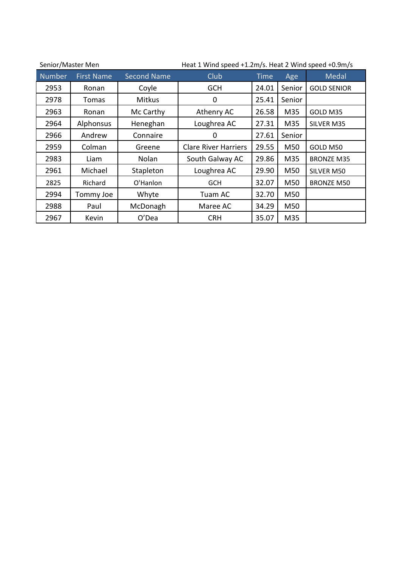| Heat 1 Wind speed +1.2m/s. Heat 2 Wind speed +0.9m/s<br>Senior/Master Men |                   |                    |                             |       |        |                    |  |
|---------------------------------------------------------------------------|-------------------|--------------------|-----------------------------|-------|--------|--------------------|--|
| <b>Number</b>                                                             | <b>First Name</b> | <b>Second Name</b> | Club<br><b>Time</b>         |       | Age    | Medal              |  |
| 2953                                                                      | Ronan             | Coyle              | <b>GCH</b>                  | 24.01 | Senior | <b>GOLD SENIOR</b> |  |
| 2978                                                                      | Tomas             | <b>Mitkus</b>      | 0                           | 25.41 | Senior |                    |  |
| 2963                                                                      | Ronan             | Mc Carthy          | Athenry AC                  | 26.58 | M35    | GOLD M35           |  |
| 2964                                                                      | Alphonsus         | Heneghan           | Loughrea AC                 | 27.31 | M35    | SILVER M35         |  |
| 2966                                                                      | Andrew            | Connaire           | 0                           | 27.61 | Senior |                    |  |
| 2959                                                                      | Colman            | Greene             | <b>Clare River Harriers</b> | 29.55 | M50    | GOLD M50           |  |
| 2983                                                                      | Liam              | Nolan              | South Galway AC             | 29.86 | M35    | <b>BRONZE M35</b>  |  |
| 2961                                                                      | Michael           | Stapleton          | Loughrea AC                 | 29.90 | M50    | SILVER M50         |  |
| 2825                                                                      | Richard           | O'Hanlon           | <b>GCH</b>                  | 32.07 | M50    | <b>BRONZE M50</b>  |  |
| 2994                                                                      | Tommy Joe         | Whyte              | Tuam AC                     | 32.70 | M50    |                    |  |
| 2988                                                                      | Paul              | McDonagh           | Maree AC                    | 34.29 | M50    |                    |  |
| 2967                                                                      | Kevin             | O'Dea              | <b>CRH</b>                  | 35.07 | M35    |                    |  |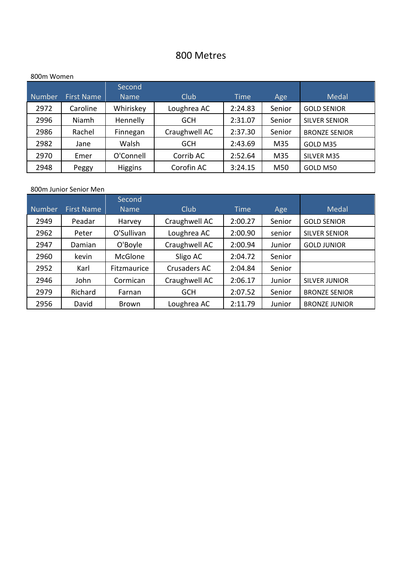### 800 Metres

#### 800m Women

|               |                   | Second         |               |             |        |                      |
|---------------|-------------------|----------------|---------------|-------------|--------|----------------------|
| <b>Number</b> | <b>First Name</b> | <b>Name</b>    | Club          | <b>Time</b> | Age    | Medal                |
| 2972          | Caroline          | Whiriskey      | Loughrea AC   | 2:24.83     | Senior | <b>GOLD SENIOR</b>   |
| 2996          | Niamh             | Hennelly       | <b>GCH</b>    | 2:31.07     | Senior | <b>SILVER SENIOR</b> |
| 2986          | Rachel            | Finnegan       | Craughwell AC | 2:37.30     | Senior | <b>BRONZE SENIOR</b> |
| 2982          | Jane              | Walsh          | <b>GCH</b>    | 2:43.69     | M35    | GOLD M35             |
| 2970          | Emer              | O'Connell      | Corrib AC     | 2:52.64     | M35    | SILVER M35           |
| 2948          | Peggy             | <b>Higgins</b> | Corofin AC    | 3:24.15     | M50    | GOLD M50             |

#### 800m Junior Senior Men

|               |                                  | Second      |                     |         |        |                      |
|---------------|----------------------------------|-------------|---------------------|---------|--------|----------------------|
| <b>Number</b> | <b>First Name</b><br><b>Name</b> |             | Club<br><b>Time</b> |         | Age    | Medal                |
| 2949          | Peadar                           | Harvey      | Craughwell AC       | 2:00.27 | Senior | <b>GOLD SENIOR</b>   |
| 2962          | Peter                            | O'Sullivan  | Loughrea AC         | 2:00.90 | senior | <b>SILVER SENIOR</b> |
| 2947          | Damian                           | O'Boyle     | Craughwell AC       | 2:00.94 | Junior | <b>GOLD JUNIOR</b>   |
| 2960          | kevin                            | McGlone     | Sligo AC            | 2:04.72 | Senior |                      |
| 2952          | Karl                             | Fitzmaurice | Crusaders AC        | 2:04.84 | Senior |                      |
| 2946          | John                             | Cormican    | Craughwell AC       | 2:06.17 | Junior | <b>SILVER JUNIOR</b> |
| 2979          | Richard                          | Farnan      | <b>GCH</b>          | 2:07.52 | Senior | <b>BRONZE SENIOR</b> |
| 2956          | David                            | Brown       | Loughrea AC         | 2:11.79 | Junior | <b>BRONZE JUNIOR</b> |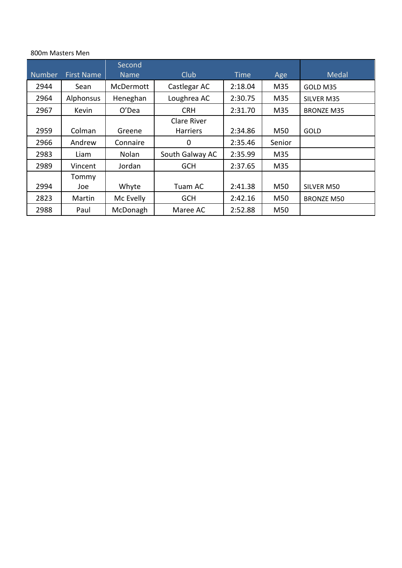#### 800m Masters Men

|               |                   | Second       |                 |         |        |                   |
|---------------|-------------------|--------------|-----------------|---------|--------|-------------------|
| <b>Number</b> | <b>First Name</b> | <b>Name</b>  | <b>Club</b>     | Time    | Age    | <b>Medal</b>      |
| 2944          | Sean              | McDermott    | Castlegar AC    | 2:18.04 | M35    | GOLD M35          |
| 2964          | Alphonsus         | Heneghan     | Loughrea AC     | 2:30.75 | M35    | SILVER M35        |
| 2967          | Kevin             | O'Dea        | <b>CRH</b>      | 2:31.70 | M35    | <b>BRONZE M35</b> |
|               |                   |              | Clare River     |         |        |                   |
| 2959          | Colman            | Greene       | <b>Harriers</b> | 2:34.86 | M50    | <b>GOLD</b>       |
| 2966          | Andrew            | Connaire     | 0               | 2:35.46 | Senior |                   |
| 2983          | Liam              | <b>Nolan</b> | South Galway AC | 2:35.99 | M35    |                   |
| 2989          | Vincent           | Jordan       | <b>GCH</b>      | 2:37.65 | M35    |                   |
|               | Tommy             |              |                 |         |        |                   |
| 2994          | Joe               | Whyte        | Tuam AC         | 2:41.38 | M50    | SILVER M50        |
| 2823          | Martin            | Mc Evelly    | <b>GCH</b>      | 2:42.16 | M50    | <b>BRONZE M50</b> |
| 2988          | Paul              | McDonagh     | Maree AC        | 2:52.88 | M50    |                   |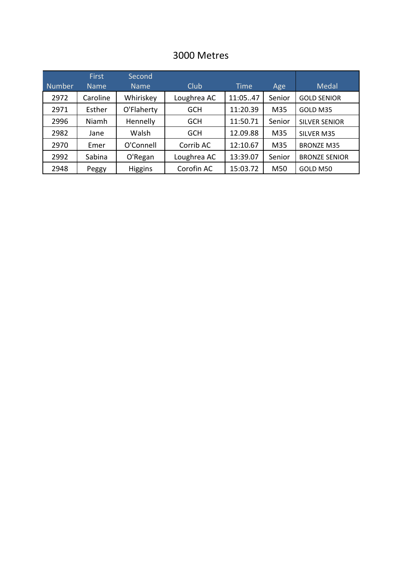### 3000 Metres

|               | <b>First</b> | Second         |             |             |        |                      |
|---------------|--------------|----------------|-------------|-------------|--------|----------------------|
| <b>Number</b> | <b>Name</b>  | <b>Name</b>    | Club        | <b>Time</b> | Age    | <b>Medal</b>         |
| 2972          | Caroline     | Whiriskey      | Loughrea AC | 11:0547     | Senior | <b>GOLD SENIOR</b>   |
| 2971          | Esther       | O'Flaherty     | <b>GCH</b>  | 11:20.39    | M35    | GOLD M35             |
| 2996          | Niamh        | Hennelly       | <b>GCH</b>  | 11:50.71    | Senior | <b>SILVER SENIOR</b> |
| 2982          | Jane         | Walsh          | <b>GCH</b>  | 12.09.88    | M35    | SILVER M35           |
| 2970          | Emer         | O'Connell      | Corrib AC   | 12:10.67    | M35    | <b>BRONZE M35</b>    |
| 2992          | Sabina       | O'Regan        | Loughrea AC | 13:39.07    | Senior | <b>BRONZE SENIOR</b> |
| 2948          | Peggy        | <b>Higgins</b> | Corofin AC  | 15:03.72    | M50    | GOLD M50             |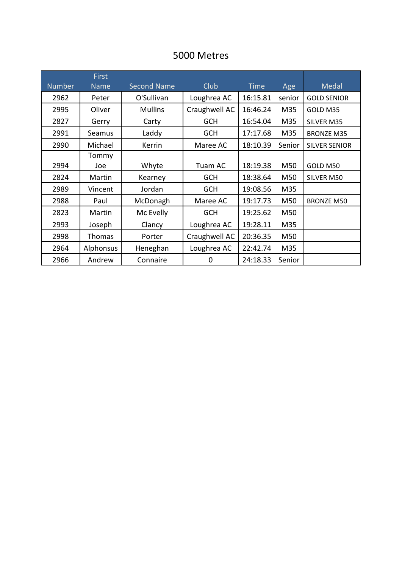### 5000 Metres

|               | <b>First</b>     |                    |                     |             |        |                      |
|---------------|------------------|--------------------|---------------------|-------------|--------|----------------------|
| <b>Number</b> | <b>Name</b>      | <b>Second Name</b> | Club                | <b>Time</b> | Age    | Medal                |
| 2962          | Peter            | O'Sullivan         | Loughrea AC         | 16:15.81    | senior | <b>GOLD SENIOR</b>   |
| 2995          | Oliver           | <b>Mullins</b>     | Craughwell AC       | 16:46.24    | M35    | GOLD M35             |
| 2827          | Gerry            | Carty              | <b>GCH</b>          | 16:54.04    | M35    | SILVER M35           |
| 2991          | Seamus           | Laddy              | <b>GCH</b>          | 17:17.68    | M35    | <b>BRONZE M35</b>    |
| 2990          | Michael          | Kerrin             | Maree AC            | 18:10.39    | Senior | <b>SILVER SENIOR</b> |
|               | Tommy            |                    |                     |             |        |                      |
| 2994          | Joe              | Whyte              | 18:19.38<br>Tuam AC |             | M50    | GOLD M50             |
| 2824          | Martin           | Kearney            | <b>GCH</b>          | 18:38.64    | M50    | SILVER M50           |
| 2989          | Vincent          | Jordan             | <b>GCH</b>          | 19:08.56    | M35    |                      |
| 2988          | Paul             | McDonagh           | Maree AC            | 19:17.73    | M50    | <b>BRONZE M50</b>    |
| 2823          | Martin           | Mc Evelly          | <b>GCH</b>          | 19:25.62    | M50    |                      |
| 2993          | Joseph           | Clancy             | Loughrea AC         | 19:28.11    | M35    |                      |
| 2998          | <b>Thomas</b>    | Porter             | Craughwell AC       | 20:36.35    | M50    |                      |
| 2964          | <b>Alphonsus</b> | Heneghan           | Loughrea AC         | 22:42.74    | M35    |                      |
| 2966          | Andrew           | Connaire           | 0                   | 24:18.33    | Senior |                      |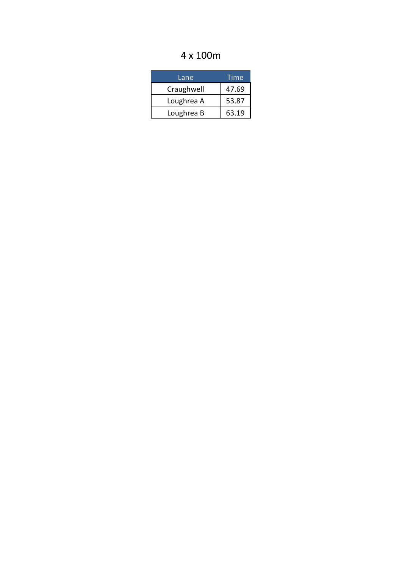## 4 x 100m

| Lane       | Time  |
|------------|-------|
| Craughwell | 47.69 |
| Loughrea A | 53.87 |
| Loughrea B | 63.19 |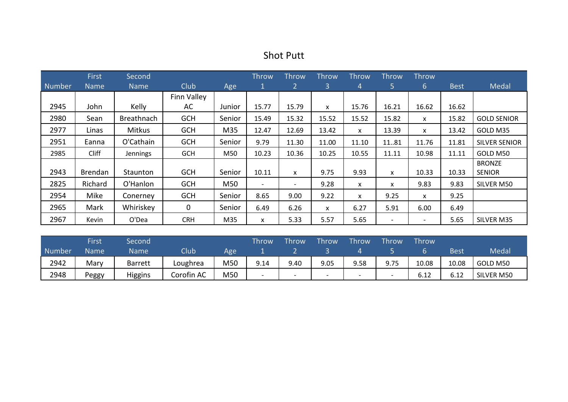| <b>Shot Putt</b> |  |
|------------------|--|
|------------------|--|

|        | <b>First</b>   | Second            |             |        | <b>Throw</b> | <b>Throw</b>             | Throw          | <b>Throw</b> | <b>Throw</b>             | Throw    |             |                      |
|--------|----------------|-------------------|-------------|--------|--------------|--------------------------|----------------|--------------|--------------------------|----------|-------------|----------------------|
| Number | <b>Name</b>    | <b>Name</b>       | Club        | Age    |              | $\mathbf{2}$             | 3 <sup>1</sup> | 4            | 5.                       | 6        | <b>Best</b> | Medal                |
|        |                |                   | Finn Valley |        |              |                          |                |              |                          |          |             |                      |
| 2945   | John           | Kelly             | AC          | Junior | 15.77        | 15.79                    | X              | 15.76        | 16.21                    | 16.62    | 16.62       |                      |
| 2980   | Sean           | <b>Breathnach</b> | <b>GCH</b>  | Senior | 15.49        | 15.32                    | 15.52          | 15.52        | 15.82                    | X.       | 15.82       | <b>GOLD SENIOR</b>   |
| 2977   | Linas          | Mitkus            | <b>GCH</b>  | M35    | 12.47        | 12.69                    | 13.42          | x            | 13.39                    | X        | 13.42       | GOLD M35             |
| 2951   | Eanna          | O'Cathain         | <b>GCH</b>  | Senior | 9.79         | 11.30                    | 11.00          | 11.10        | 1181                     | 11.76    | 11.81       | <b>SILVER SENIOR</b> |
| 2985   | <b>Cliff</b>   | Jennings          | <b>GCH</b>  | M50    | 10.23        | 10.36                    | 10.25          | 10.55        | 11.11                    | 10.98    | 11.11       | GOLD M50             |
|        |                |                   |             |        |              |                          |                |              |                          |          |             | <b>BRONZE</b>        |
| 2943   | <b>Brendan</b> | Staunton          | <b>GCH</b>  | Senior | 10.11        | X                        | 9.75           | 9.93         | x                        | 10.33    | 10.33       | <b>SENIOR</b>        |
| 2825   | Richard        | O'Hanlon          | <b>GCH</b>  | M50    | $\sim$       | $\overline{\phantom{a}}$ | 9.28           | X            | x                        | 9.83     | 9.83        | SILVER M50           |
| 2954   | Mike           | Conerney          | <b>GCH</b>  | Senior | 8.65         | 9.00                     | 9.22           | X            | 9.25                     | <b>X</b> | 9.25        |                      |
| 2965   | Mark           | Whiriskey         | $\mathbf 0$ | Senior | 6.49         | 6.26                     | X              | 6.27         | 5.91                     | 6.00     | 6.49        |                      |
| 2967   | Kevin          | O'Dea             | <b>CRH</b>  | M35    | X            | 5.33                     | 5.57           | 5.65         | $\overline{\phantom{a}}$ |          | 5.65        | SILVER M35           |

|        | First       | Second         |             |     | Throw                    | Throw                    | Throw                    | Throw                    | Throw                    | Throw |       |              |
|--------|-------------|----------------|-------------|-----|--------------------------|--------------------------|--------------------------|--------------------------|--------------------------|-------|-------|--------------|
| Number | <b>Name</b> | Name           | <b>Club</b> | Age |                          |                          |                          |                          |                          |       | Best  | <b>Medal</b> |
| 2942   | Mary        | <b>Barrett</b> | Loughrea    | M50 | 9.14                     | 9.40                     | 9.05                     | 9.58                     | 9.75                     | 10.08 | 10.08 | GOLD M50     |
| 2948   | Peggy       | <b>Higgins</b> | Corofin AC  | M50 | $\overline{\phantom{0}}$ | $\overline{\phantom{0}}$ | $\overline{\phantom{0}}$ | $\overline{\phantom{0}}$ | $\overline{\phantom{0}}$ | 6.12  | 6.12  | SILVER M50   |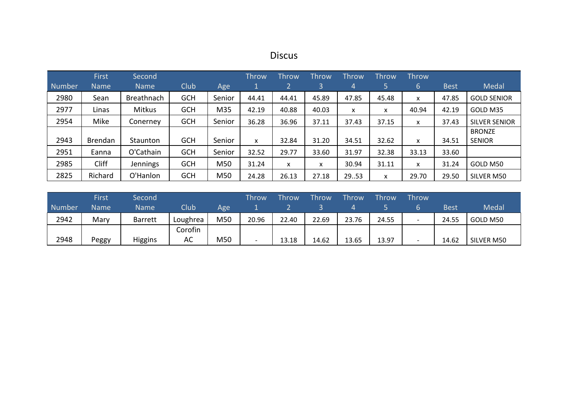# Discus

|               | <b>First</b>   | Second          |            |        | <b>Throw</b> | Throw | <b>Throw</b> | <b>Throw</b> | <b>Throw</b> | Throw |             |                      |
|---------------|----------------|-----------------|------------|--------|--------------|-------|--------------|--------------|--------------|-------|-------------|----------------------|
| <b>Number</b> | <b>Name</b>    | <b>Name</b>     | Club       | Age    |              |       | 3            | 4            | 5            | 6     | <b>Best</b> | Medal                |
| 2980          | Sean           | Breathnach      | <b>GCH</b> | Senior | 44.41        | 44.41 | 45.89        | 47.85        | 45.48        | X     | 47.85       | <b>GOLD SENIOR</b>   |
| 2977          | Linas          | Mitkus          | <b>GCH</b> | M35    | 42.19        | 40.88 | 40.03        | X            | x            | 40.94 | 42.19       | GOLD M35             |
| 2954          | Mike           | Conerney        | <b>GCH</b> | Senior | 36.28        | 36.96 | 37.11        | 37.43        | 37.15        | X     | 37.43       | <b>SILVER SENIOR</b> |
|               |                |                 |            |        |              |       |              |              |              |       |             | <b>BRONZE</b>        |
| 2943          | <b>Brendan</b> | Staunton        | <b>GCH</b> | Senior | x            | 32.84 | 31.20        | 34.51        | 32.62        | x     | 34.51       | <b>SENIOR</b>        |
| 2951          | Eanna          | O'Cathain       | <b>GCH</b> | Senior | 32.52        | 29.77 | 33.60        | 31.97        | 32.38        | 33.13 | 33.60       |                      |
| 2985          | Cliff          | <b>Jennings</b> | <b>GCH</b> | M50    | 31.24        | X     | x            | 30.94        | 31.11        | X     | 31.24       | GOLD M50             |
| 2825          | Richard        | O'Hanlon        | <b>GCH</b> | M50    | 24.28        | 26.13 | 27.18        | 29.53        | X            | 29.70 | 29.50       | SILVER M50           |

|        | First       | Second         |          |     | Throw | <b>Throw</b> | <b>Throw</b> | Throw | Throw | <b>Throw</b>             |       |            |
|--------|-------------|----------------|----------|-----|-------|--------------|--------------|-------|-------|--------------------------|-------|------------|
| Number | <b>Name</b> | <b>Name</b>    | Club     | Age |       |              |              |       |       |                          | Best  | Medal      |
| 2942   | Mary        | <b>Barrett</b> | Loughrea | M50 | 20.96 | 22.40        | 22.69        | 23.76 | 24.55 | $\overline{\phantom{a}}$ | 24.55 | GOLD M50   |
|        |             |                | Corofin  |     |       |              |              |       |       |                          |       |            |
| 2948   | Peggy       | <b>Higgins</b> | AC       | M50 |       | 13.18        | 14.62        | 13.65 | 13.97 | $\overline{\phantom{0}}$ | 14.62 | SILVER M50 |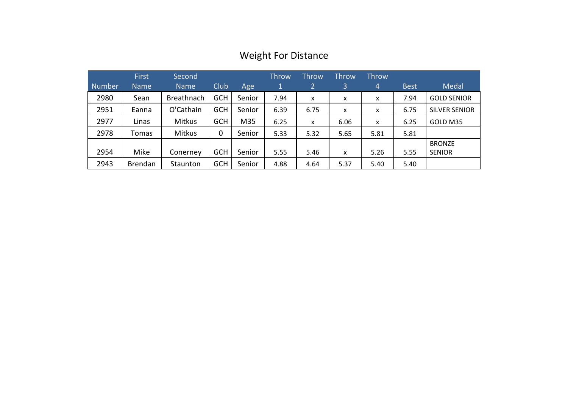| <b>Number</b> | <b>First</b><br><b>Name</b> | Second<br><b>Name</b> | Club       | Age    | <b>Throw</b><br>1 | Throw<br>$\overline{2}$ | <b>Throw</b><br>3         | <b>Throw</b><br>4 | <b>Best</b> | Medal                |
|---------------|-----------------------------|-----------------------|------------|--------|-------------------|-------------------------|---------------------------|-------------------|-------------|----------------------|
| 2980          | Sean                        | <b>Breathnach</b>     | <b>GCH</b> | Senior | 7.94              | x                       | X                         | X                 | 7.94        | <b>GOLD SENIOR</b>   |
| 2951          | Eanna                       | O'Cathain             | <b>GCH</b> | Senior | 6.39              | 6.75                    | $\boldsymbol{\mathsf{x}}$ | x                 | 6.75        | <b>SILVER SENIOR</b> |
| 2977          | Linas                       | Mitkus                | <b>GCH</b> | M35    | 6.25              | x                       | 6.06                      | X                 | 6.25        | GOLD M35             |
| 2978          | Tomas                       | <b>Mitkus</b>         | 0          | Senior | 5.33              | 5.32                    | 5.65                      | 5.81              | 5.81        |                      |
|               |                             |                       |            |        |                   |                         |                           |                   |             | <b>BRONZE</b>        |
| 2954          | Mike                        | Conerney              | <b>GCH</b> | Senior | 5.55              | 5.46                    | X                         | 5.26              | 5.55        | <b>SENIOR</b>        |
| 2943          | <b>Brendan</b>              | Staunton              | <b>GCH</b> | Senior | 4.88              | 4.64                    | 5.37                      | 5.40              | 5.40        |                      |